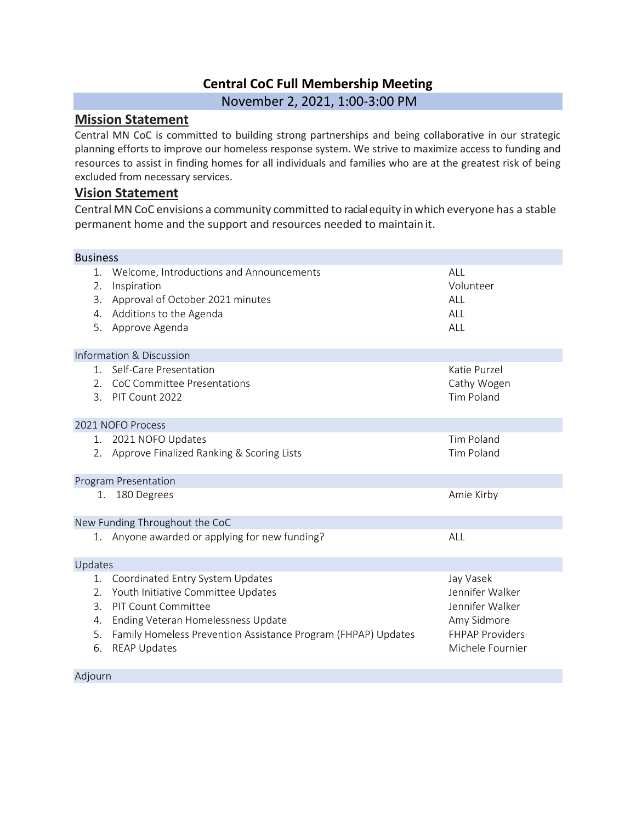## **Central CoC Full Membership Meeting**

November 2, 2021, 1:00-3:00 PM

## **Mission Statement**

Central MN CoC is committed to building strong partnerships and being collaborative in our strategic planning efforts to improve our homeless response system. We strive to maximize access to funding and resources to assist in finding homes for all individuals and families who are at the greatest risk of being excluded from necessary services.

#### **Vision Statement**

Central MN CoC envisions a community committed to racialequity in which everyone has a stable permanent home and the support and resources needed to maintain it.

| <b>Business</b>                     |                                                                                                                                                                                                                                    |                                                                                                              |
|-------------------------------------|------------------------------------------------------------------------------------------------------------------------------------------------------------------------------------------------------------------------------------|--------------------------------------------------------------------------------------------------------------|
| $1_{\cdot}$<br>2.<br>3.<br>4.<br>5. | Welcome, Introductions and Announcements<br>Inspiration<br>Approval of October 2021 minutes<br>Additions to the Agenda<br>Approve Agenda                                                                                           | ALL<br>Volunteer<br>ALL<br>ALL<br>ALL                                                                        |
|                                     | Information & Discussion                                                                                                                                                                                                           |                                                                                                              |
| $1_{-}$<br>3 <sub>1</sub>           | Self-Care Presentation<br>2. CoC Committee Presentations<br>PIT Count 2022                                                                                                                                                         | Katie Purzel<br>Cathy Wogen<br><b>Tim Poland</b>                                                             |
|                                     | 2021 NOFO Process                                                                                                                                                                                                                  |                                                                                                              |
|                                     | 1. 2021 NOFO Updates<br>2. Approve Finalized Ranking & Scoring Lists                                                                                                                                                               | <b>Tim Poland</b><br><b>Tim Poland</b>                                                                       |
|                                     | Program Presentation                                                                                                                                                                                                               |                                                                                                              |
| 1.                                  | 180 Degrees                                                                                                                                                                                                                        | Amie Kirby                                                                                                   |
|                                     | New Funding Throughout the CoC                                                                                                                                                                                                     |                                                                                                              |
|                                     | 1. Anyone awarded or applying for new funding?                                                                                                                                                                                     | ALL                                                                                                          |
| Updates                             |                                                                                                                                                                                                                                    |                                                                                                              |
| 1.<br>2.<br>3.<br>4.<br>5.<br>6.    | Coordinated Entry System Updates<br>Youth Initiative Committee Updates<br><b>PIT Count Committee</b><br>Ending Veteran Homelessness Update<br>Family Homeless Prevention Assistance Program (FHPAP) Updates<br><b>REAP Updates</b> | Jay Vasek<br>Jennifer Walker<br>Jennifer Walker<br>Amy Sidmore<br><b>FHPAP Providers</b><br>Michele Fournier |
| Adjourn                             |                                                                                                                                                                                                                                    |                                                                                                              |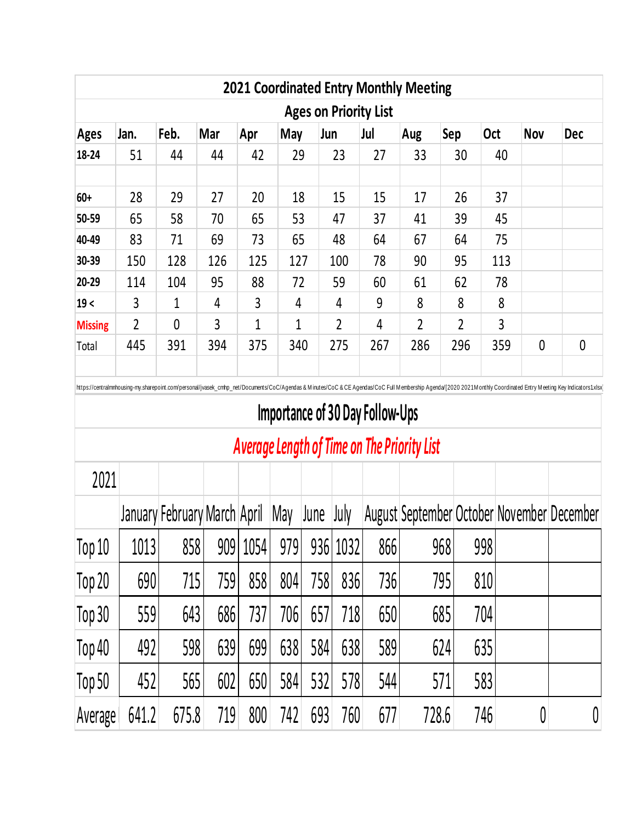|                | <b>Ages on Priority List</b> |              |     |     |              |                |     |                |                |     |            |             |  |  |  |
|----------------|------------------------------|--------------|-----|-----|--------------|----------------|-----|----------------|----------------|-----|------------|-------------|--|--|--|
| <b>Ages</b>    | Jan.                         | Feb.         | Mar | Apr | May          | Jun            | Jul | Aug            | Sep            | Oct | <b>Nov</b> | <b>Dec</b>  |  |  |  |
| 18-24          | 51                           | 44           | 44  | 42  | 29           | 23             | 27  | 33             | 30             | 40  |            |             |  |  |  |
| $60+$          | 28                           | 29           | 27  | 20  | 18           | 15             | 15  | 17             | 26             | 37  |            |             |  |  |  |
| 50-59          | 65                           | 58           | 70  | 65  | 53           | 47             | 37  | 41             | 39             | 45  |            |             |  |  |  |
| 40-49          | 83                           | 71           | 69  | 73  | 65           | 48             | 64  | 67             | 64             | 75  |            |             |  |  |  |
| 30-39          | 150                          | 128          | 126 | 125 | 127          | 100            | 78  | 90             | 95             | 113 |            |             |  |  |  |
| 20-29          | 114                          | 104          | 95  | 88  | 72           | 59             | 60  | 61             | 62             | 78  |            |             |  |  |  |
| 19<            | 3                            | 1            | 4   | 3   | 4            | 4              | 9   | 8              | 8              | 8   |            |             |  |  |  |
| <b>Missing</b> | $\overline{2}$               | $\mathbf{0}$ | 3   | 1   | $\mathbf{1}$ | $\overline{2}$ | 4   | $\overline{2}$ | $\overline{2}$ | 3   |            |             |  |  |  |
| Total          | 445                          | 391          | 394 | 375 | 340          | 275            | 267 | 286            | 296            | 359 | 0          | $\mathbf 0$ |  |  |  |

## **Importance of 30 Day Follow-Ups**

# *Average Length of Time on The Priority List*

| 2021              |       |                              |     |          |     |      |          |     |                                            |     |   |   |
|-------------------|-------|------------------------------|-----|----------|-----|------|----------|-----|--------------------------------------------|-----|---|---|
|                   |       | January February March April |     |          | May | June | July     |     | August September October November December |     |   |   |
| Top <sub>10</sub> | 1013  | 858                          |     | 909 1054 | 979 |      | 936 1032 | 866 | 968                                        | 998 |   |   |
| Top 20            | 690   | 715                          | 759 | 858      | 804 | 758  | 836      | 736 | 795                                        | 810 |   |   |
| Top 30            | 559   | 643                          | 686 | 737      | 706 | 657  | 718      | 650 | 685                                        | 704 |   |   |
| Top 40            | 492   | 598                          | 639 | 699      | 638 | 584  | 638      | 589 | 624                                        | 635 |   |   |
| Top 50            | 452   | 565                          | 602 | 650      | 584 | 532  | 578      | 544 | 571                                        | 583 |   |   |
| Average           | 641.2 | 675.8                        | 719 | 800      | 742 | 693  | 760      | 677 | 728.6                                      | 746 | 0 | 0 |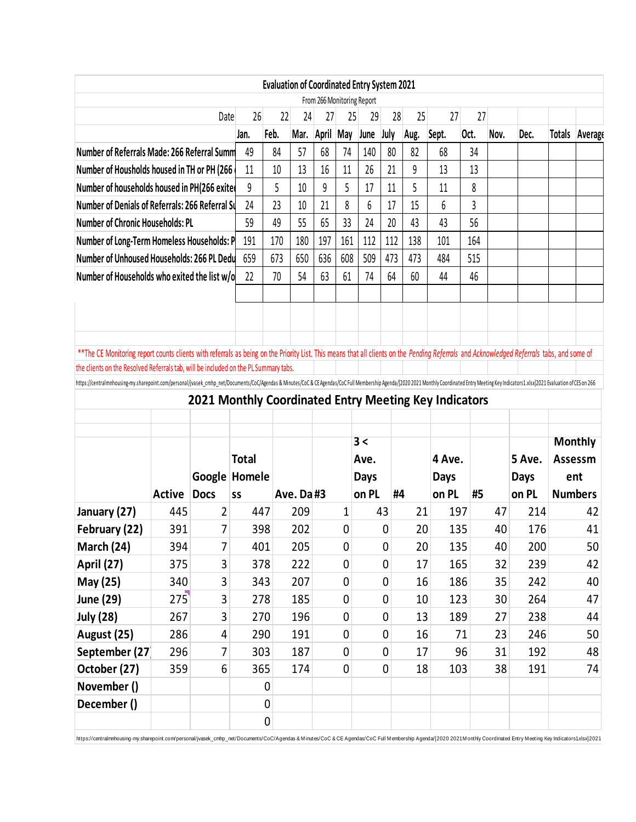|                                                                                                                                                                                                                                                                                   |               |                                                       |              |      | <b>Evaluation of Coordinated Entry System 2021</b> |                |     |                            |      |      |             |      |      |             |                |                                  |
|-----------------------------------------------------------------------------------------------------------------------------------------------------------------------------------------------------------------------------------------------------------------------------------|---------------|-------------------------------------------------------|--------------|------|----------------------------------------------------|----------------|-----|----------------------------|------|------|-------------|------|------|-------------|----------------|----------------------------------|
|                                                                                                                                                                                                                                                                                   |               |                                                       |              |      |                                                    |                |     | From 266 Monitoring Report |      |      |             |      |      |             |                |                                  |
|                                                                                                                                                                                                                                                                                   |               | Date                                                  | 26           | 22   | 24                                                 | 27             | 25  | 29                         | 28   | 25   | 27          | 27   |      |             |                |                                  |
|                                                                                                                                                                                                                                                                                   |               |                                                       | Jan.         | Feb. |                                                    | Mar. April May |     | June                       | July | Aug. | Sept.       | Oct. | Nov. | Dec.        | Totals         | Average                          |
| Number of Referrals Made: 266 Referral Summ                                                                                                                                                                                                                                       | 49            | 84                                                    | 57           | 68   | 74                                                 | 140            | 80  | 82                         | 68   | 34   |             |      |      |             |                |                                  |
| Number of Housholds housed in TH or PH (266                                                                                                                                                                                                                                       | 11            | 10                                                    | 13           | 16   | 11                                                 | 26             | 21  | 9                          | 13   | 13   |             |      |      |             |                |                                  |
| Number of households housed in PH(266 exited                                                                                                                                                                                                                                      |               |                                                       |              | 5    | 10                                                 | 9              | 5   | 17                         | 11   | 5    | 11          | 8    |      |             |                |                                  |
| Number of Denials of Referrals: 266 Referral Su                                                                                                                                                                                                                                   |               |                                                       | 24           | 23   | 10                                                 | 21             | 8   | 6                          | 17   | 15   | 6           | 3    |      |             |                |                                  |
| <b>Number of Chronic Households: PL</b>                                                                                                                                                                                                                                           |               |                                                       | 59           | 49   | 55                                                 | 65             | 33  | 24                         | 20   | 43   | 43          | 56   |      |             |                |                                  |
| Number of Long-Term Homeless Households: P                                                                                                                                                                                                                                        |               |                                                       | 191          | 170  | 180                                                | 197            | 161 | 112                        | 112  | 138  | 101         | 164  |      |             |                |                                  |
| Number of Unhoused Households: 266 PL Dedu                                                                                                                                                                                                                                        |               |                                                       | 659          | 673  | 650                                                | 636            | 608 | 509                        | 473  | 473  | 484         | 515  |      |             |                |                                  |
| Number of Households who exited the list w/o                                                                                                                                                                                                                                      |               |                                                       | 22           | 70   | 54                                                 | 63             | 61  | 74                         | 64   | 60   | 44          | 46   |      |             |                |                                  |
|                                                                                                                                                                                                                                                                                   |               |                                                       |              |      |                                                    |                |     |                            |      |      |             |      |      |             |                |                                  |
|                                                                                                                                                                                                                                                                                   |               |                                                       |              |      |                                                    |                |     |                            |      |      |             |      |      |             |                |                                  |
|                                                                                                                                                                                                                                                                                   |               |                                                       |              |      |                                                    |                |     |                            |      |      |             |      |      |             |                |                                  |
| ** The CE Monitoring report counts clients with referrals as being on the Priority List. This means that all clients on the Pending Referrals and Acknowledged Referrals tabs, and some of<br>the clients on the Resolved Referrals tab, will be included on the PL Summary tabs. |               |                                                       |              |      |                                                    |                |     |                            |      |      |             |      |      |             |                |                                  |
| https://centralmnhousing-my.sharepoint.com/personal/jvasek_cmhp_net/Documents/CoC/Agendas & Minutes/CoC& CE Agendas/CoC Full Membership Agenda/2020 2021 Monthly Coordinated Entry Meeting Key Indicators1.xlsx]2021 Evaluatio                                                    |               |                                                       |              |      |                                                    |                |     |                            |      |      |             |      |      |             |                |                                  |
|                                                                                                                                                                                                                                                                                   |               | 2021 Monthly Coordinated Entry Meeting Key Indicators |              |      |                                                    |                |     |                            |      |      |             |      |      |             |                |                                  |
|                                                                                                                                                                                                                                                                                   |               |                                                       |              |      |                                                    |                |     |                            |      |      |             |      |      |             |                |                                  |
|                                                                                                                                                                                                                                                                                   |               |                                                       |              |      |                                                    |                |     |                            |      |      |             |      |      |             |                |                                  |
|                                                                                                                                                                                                                                                                                   |               |                                                       |              |      |                                                    |                |     |                            |      |      |             |      |      |             |                |                                  |
|                                                                                                                                                                                                                                                                                   |               |                                                       |              |      |                                                    |                |     | 3 <                        |      |      |             |      |      |             | <b>Monthly</b> |                                  |
|                                                                                                                                                                                                                                                                                   |               |                                                       | <b>Total</b> |      |                                                    |                |     | Ave.                       |      |      | 4 Ave.      |      |      | 5 Ave.      | <b>Assessm</b> |                                  |
|                                                                                                                                                                                                                                                                                   |               | Google Homele                                         |              |      |                                                    |                |     | <b>Days</b>                |      |      | <b>Days</b> |      |      | <b>Days</b> | ent            |                                  |
|                                                                                                                                                                                                                                                                                   | <b>Active</b> | <b>Docs</b>                                           | SS           |      | Ave. Da #3                                         |                |     | on PL                      | #4   |      | on PL       | #5   |      | on PL       | <b>Numbers</b> |                                  |
|                                                                                                                                                                                                                                                                                   | 445           | 2                                                     | 447          |      | 209                                                |                | 1   |                            | 43   | 21   | 197         |      | 47   | 214         |                | 42                               |
|                                                                                                                                                                                                                                                                                   | 391           | 7                                                     | 398          |      | 202                                                |                | 0   |                            | 0    | 20   | 135         |      | 40   | 176         |                | 41                               |
|                                                                                                                                                                                                                                                                                   | 394           | $\overline{7}$                                        | 401          |      | 205                                                |                | 0   |                            | 0    | 20   | 135         |      | 40   | 200         |                | 50                               |
| January (27)<br>February (22)<br>March (24)<br><b>April (27)</b>                                                                                                                                                                                                                  | 375           | 3                                                     | 378          |      | 222                                                |                | 0   |                            | 0    | 17   | 165         |      | 32   | 239         |                | 42                               |
| May (25)                                                                                                                                                                                                                                                                          | 340           | 3                                                     | 343          |      | 207                                                |                | 0   |                            | 0    | 16   | 186         |      | 35   | 242         |                |                                  |
| June (29)                                                                                                                                                                                                                                                                         | 275           | 3                                                     | 278          |      | 185                                                |                | 0   |                            | 0    | 10   | 123         |      | 30   | 264         |                |                                  |
| <b>July (28)</b>                                                                                                                                                                                                                                                                  | 267           | 3                                                     | 270          |      | 196                                                |                | 0   |                            | 0    | 13   | 189         |      | 27   | 238         |                |                                  |
|                                                                                                                                                                                                                                                                                   | 286           | 4                                                     | 290          |      | 191                                                |                | 0   |                            | 0    | 16   |             | 71   | 23   | 246         |                |                                  |
| August (25)<br>September (27)                                                                                                                                                                                                                                                     | 296           | $\overline{7}$                                        | 303          |      | 187                                                |                | 0   |                            | 0    | 17   |             | 96   | 31   | 192         |                |                                  |
| October (27)                                                                                                                                                                                                                                                                      | 359           | 6                                                     | 365          |      | 174                                                |                | 0   |                            | 0    | 18   | 103         |      | 38   | 191         |                |                                  |
| November ()                                                                                                                                                                                                                                                                       |               |                                                       |              | 0    |                                                    |                |     |                            |      |      |             |      |      |             |                |                                  |
| December ()                                                                                                                                                                                                                                                                       |               |                                                       |              | 0    |                                                    |                |     |                            |      |      |             |      |      |             |                | 40<br>47<br>44<br>50<br>48<br>74 |

https://centralmnhousing-my.sharepoint.com/personal/jvasek\_cmhp\_net/Documents/CoC/Agendas & Minutes/CoC & CE Agendas/CoC Full Membership Agenda/[2020 2021M onthly Coordinated Entry Meeting Key Indicators1.xlsx)2021